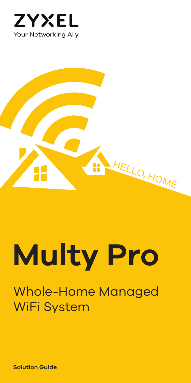



# **Multy Pro**

## Whole-Home Managed WiFi System

**Solution Guide**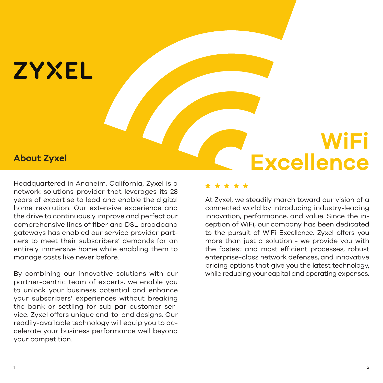## **ZYXEL**

Headquartered in Anaheim, California, Zyxel is a network solutions provider that leverages its 28 years of expertise to lead and enable the digital home revolution. Our extensive experience and the drive to continuously improve and perfect our comprehensive lines of fiber and DSL broadband gateways has enabled our service provider partners to meet their subscribers' demands for an entirely immersive home while enabling them to manage costs like never before.

By combining our innovative solutions with our partner-centric team of experts, we enable you to unlock your business potential and enhance your subscribers' experiences without breaking the bank or settling for sub-par customer service. Zyxel offers unique end-to-end designs. Our readily-available technology will equip you to accelerate your business performance well beyond your competition.

## **WiFi** About Zyxel<br> **About Zyxel**<br> **About Zyxel**<br> **About Zyxel**<br> **About Zyxel**<br> **About Zyxel**<br> **About Zyxel**<br> **About Zyxel**<br> **About Zyxel**<br> **About Zyxel**<br> **About Zyxel**<br> **About Zyxel**<br> **About Zyxel**<br> **About Zyxel**<br> **About Zyxel**

At Zyxel, we steadily march toward our vision of a connected world by introducing industry-leading innovation, performance, and value. Since the inception of WiFi, our company has been dedicated to the pursuit of WiFi Excellence. Zyxel offers you more than just a solution - we provide you with the fastest and most efficient processes, robust enterprise-class network defenses, and innovative pricing options that give you the latest technology, while reducing your capital and operating expenses.

\* \* \* \* \*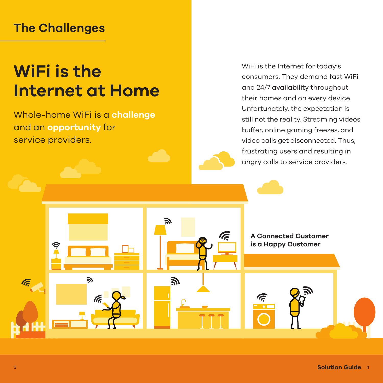## **The Challenges**

## **WiFi is the Internet at Home**

Whole-home WiFi is a **challenge** and an **opportunity** for service providers.

WiFi is the Internet for today's consumers. They demand fast WiFi and 24/7 availability throughout their homes and on every device. Unfortunately, the expectation is still not the reality. Streaming videos buffer, online gaming freezes, and video calls get disconnected. Thus, frustrating users and resulting in angry calls to service providers.

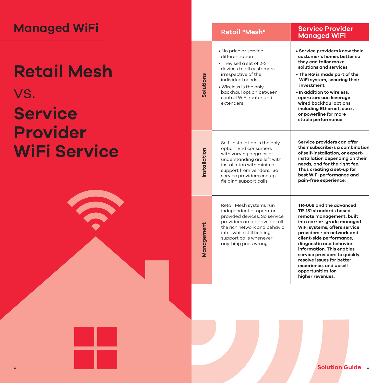| <b>Managed WiFi</b>                         |             | <b>Retail "Mesh"</b>                                                                                                                                                                                                                     | <b>Service Provider</b><br><b>Managed WiFi</b>                                                                                                                                                                                                                                                                                                                                                |
|---------------------------------------------|-------------|------------------------------------------------------------------------------------------------------------------------------------------------------------------------------------------------------------------------------------------|-----------------------------------------------------------------------------------------------------------------------------------------------------------------------------------------------------------------------------------------------------------------------------------------------------------------------------------------------------------------------------------------------|
| <b>Retail Mesh</b><br>VS.<br><b>Service</b> | Solutions   | • No price or service<br>differentiation<br>• They sell a set of 2-3<br>devices to all customers<br>irrespective of the<br>individual needs<br>· Wireless is the only<br>backhaul option between<br>central WiFi router and<br>extenders | • Service providers know their<br>customer's homes better so<br>they can tailor make<br>solutions and services<br>• The RG is made part of the<br>WiFi system, securing their<br>investment<br>. In addition to wireless.<br>operators can leverage<br>wired backhaul options<br>including Ethernet, coax,<br>or powerline for more<br>stable performance                                     |
| <b>Provider</b><br><b>WiFi Service</b>      | nstallation | Self-installation is the only<br>option. End consumers<br>with varying degrees of<br>understanding are left with<br>installation with minimal<br>support from vendors. So<br>service providers end up<br>fielding support calls.         | Service providers can offer<br>their subscribers a combination<br>of self-installation, or expert-<br>installation depending on their<br>needs, and for the right fee.<br>Thus creating a set-up for<br>best WiFi performance and<br>pain-free experience.                                                                                                                                    |
|                                             | Management  | Retail Mesh systems run<br>independent of operator<br>provided devices. So service<br>providers are deprived of all<br>the rich network and behavior<br>intel, while still fielding<br>support calls whenever<br>anything goes wrong.    | TR-069 and the advanced<br>TR-181 standards based<br>remote management, built<br>into carrier-grade managed<br>WiFi systems, offers service<br>providers rich network and<br>client-side performance,<br>diagnostic and behavior<br>information. This enables<br>service providers to quickly<br>resolve issues for better<br>experience, and upsell<br>opportunities for<br>higher revenues. |
|                                             |             |                                                                                                                                                                                                                                          |                                                                                                                                                                                                                                                                                                                                                                                               |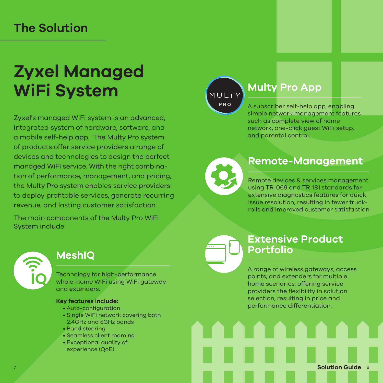## **The Solution**

## **Zyxel Managed WiFi System**

Zyxel's managed WiFi system is an advanced, integrated system of hardware, software, and a mobile self-help app. The Multy Pro system of products offer service providers a range of devices and technologies to design the perfect managed WiFi service. With the right combination of performance, management, and pricing, the Multy Pro system enables service providers to deploy profitable services, generate recurring revenue, and lasting customer satisfaction.

The main components of the Multy Pro WiFi System include:



### **MeshIQ**

Technology for high-performance whole-home WiFi using WiFi gateway and extenders.

#### **Key features include:**

- Auto-configuration
- Single WiFi network covering both 2.4GHz and 5GHz bands
- Band steering
- Seamless client roaming
- Exceptional quality of experience (QoE)

MULTY **PRO** 

### **Multy Pro App**

A subscriber self-help app, enabling simple network management features such as complete view of home network, one-click guest WiFi setup, and parental control.



### **Remote-Management**

Remote devices & services management using TR-069 and TR-181 standards for extensive diagnostics features for quick issue resolution, resulting in fewer truckrolls and improved customer satisfaction.

### **Extensive Product Portfolio**

A range of wireless gateways, access points, and extenders for multiple home scenarios, offering service providers the flexibility in solution selection, resulting in price and performance differentiation.

**Solution Guide** 8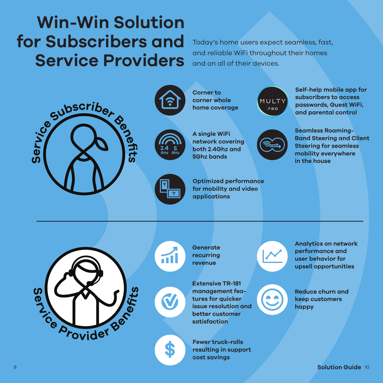## **Win-Win Solution for Subscribers and Service Providers**

Today's home users expect seamless, fast, and reliable WiFi throughout their homes and on all of their devices.

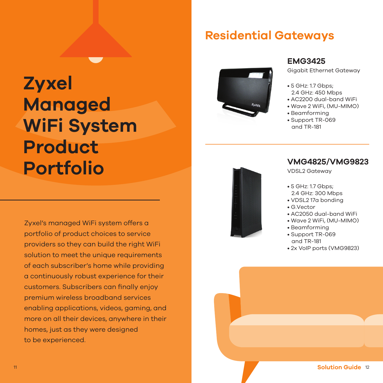## **Residential Gateways**

## **Zyxel Managed WiFi System Product Portfolio**

Zyxel's managed WiFi system offers a portfolio of product choices to service providers so they can build the right WiFi solution to meet the unique requirements of each subscriber's home while providing a continuously robust experience for their customers. Subscribers can finally enjoy premium wireless broadband services enabling applications, videos, gaming, and more on all their devices, anywhere in their homes, just as they were designed to be experienced.



#### **EMG3425**

Gigabit Ethernet Gateway

- 5 GHz: 1.7 Gbps;
- 2.4 GHz: 450 Mbps
- AC2200 dual-band WiFi
- Wave 2 WiFi, (MU-MIMO)
- Beamforming
- Support TR-069 and TR-181



#### **VMG4825/VMG9823**

VDSL2 Gateway

- 5 GHz: 1.7 Gbps; 2.4 GHz: 300 Mbps
- VDSL2 17a bonding
- G.Vector
- AC2050 dual-band WiFi
- Wave 2 WiFi, (MU-MIMO)
- Beamforming
- Support TR-069 and TR-181
- 2x VoIP ports (VMG9823)

11 **Solution Guide** 12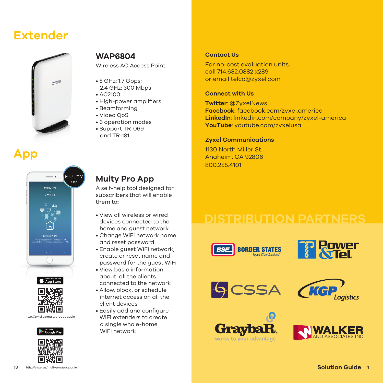### **Extender**



**App**

#### **WAP6804**

Wireless AC Access Point

- 5 GHz: 1.7 Gbps; 2.4 GHz: 300 Mbps
- AC2100
- High-power amplifiers
- Beamforming
- Video QoS
- 3 operation modes
- Support TR-069 and TR-181

#### **Contact Us**

For no-cost evaluation units, call 714.632.0882 x289 or email telco@zyxel.com

#### **Connect with Us**

**Twitter**: @ZyxelNews **Facebook**: facebook.com/zyxel.america **LinkedIn**: linkedin.com/company/zyxel-america **YouTube**: youtube.com/zyxelusa

#### **Zyxel Communications**

1130 North Miller St. Anaheim, CA 92806 800.255.4101





http://zyxel.us/multyproappapple



### **Multy Pro App**

A self-help tool designed for subscribers that will enable them to**:**

- View all wireless or wired devices connected to the home and guest network
- Change WiFi network name and reset password
- Enable guest WiFi network, create or reset name and password for the guest WiFi
- View basic information about all the clients connected to the network
- Allow, block, or schedule internet access on all the client devices
- Easily add and configure WiFi extenders to create a single whole-home WiFi network